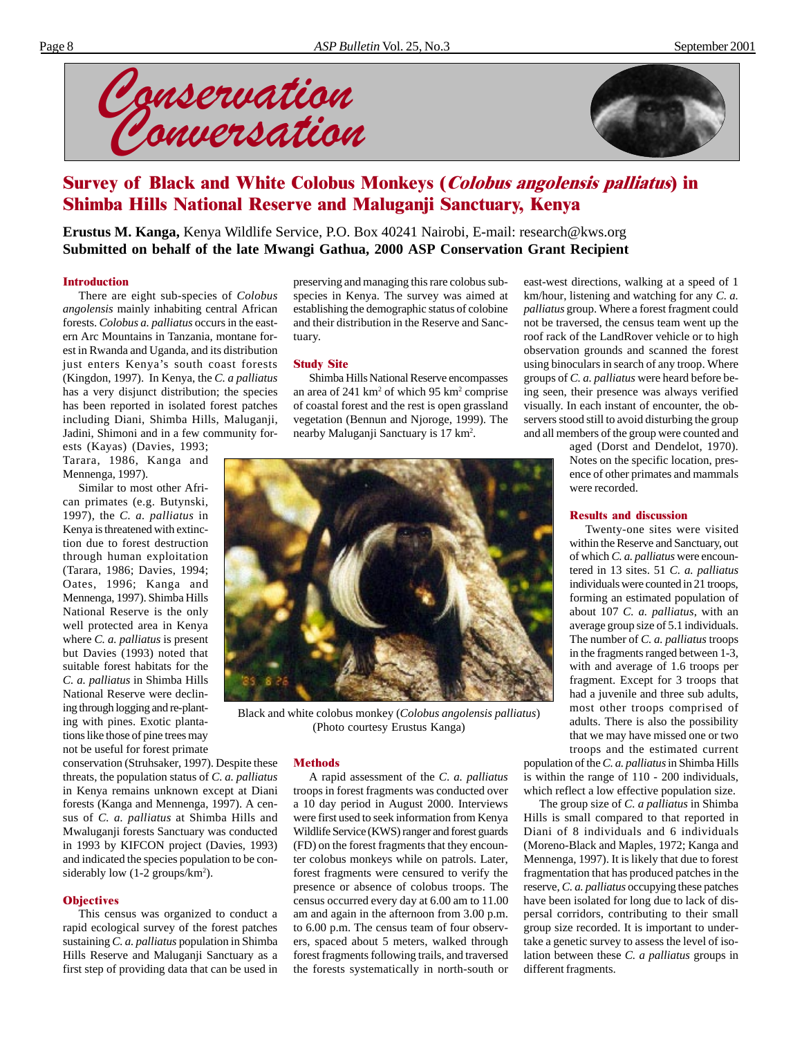



# Survey of Black and White Colobus Monkeys (Colobus angolensis palliatus) in Shimba Hills National Reserve and Maluganji Sanctuary, Kenya

**Erustus M. Kanga,** Kenya Wildlife Service, P.O. Box 40241 Nairobi, E-mail: research@kws.org **Submitted on behalf of the late Mwangi Gathua, 2000 ASP Conservation Grant Recipient**

#### **Introduction**

There are eight sub-species of *Colobus angolensis* mainly inhabiting central African forests. *Colobus a. palliatus* occurs in the eastern Arc Mountains in Tanzania, montane forest in Rwanda and Uganda, and its distribution just enters Kenya's south coast forests (Kingdon, 1997). In Kenya, the *C. a palliatus* has a very disjunct distribution; the species has been reported in isolated forest patches including Diani, Shimba Hills, Maluganji, Jadini, Shimoni and in a few community for-

ests (Kayas) (Davies, 1993; Tarara, 1986, Kanga and Mennenga, 1997).

Similar to most other African primates (e.g. Butynski, 1997), the *C. a. palliatus* in Kenya is threatened with extinction due to forest destruction through human exploitation (Tarara, 1986; Davies, 1994; Oates, 1996; Kanga and Mennenga, 1997). Shimba Hills National Reserve is the only well protected area in Kenya where *C. a. palliatus* is present but Davies (1993) noted that suitable forest habitats for the *C. a. palliatus* in Shimba Hills National Reserve were declining through logging and re-planting with pines. Exotic plantations like those of pine trees may not be useful for forest primate

conservation (Struhsaker, 1997). Despite these threats, the population status of *C. a. palliatus* in Kenya remains unknown except at Diani forests (Kanga and Mennenga, 1997). A census of *C. a. palliatus* at Shimba Hills and Mwaluganji forests Sanctuary was conducted in 1993 by KIFCON project (Davies, 1993) and indicated the species population to be considerably low (1-2 groups/km<sup>2</sup>).

#### **Objectives**

This census was organized to conduct a rapid ecological survey of the forest patches sustaining *C. a. palliatus* population in Shimba Hills Reserve and Maluganji Sanctuary as a first step of providing data that can be used in

preserving and managing this rare colobus subspecies in Kenya. The survey was aimed at establishing the demographic status of colobine and their distribution in the Reserve and Sanctuary.

#### Study Site

Shimba Hills National Reserve encompasses an area of 241 km<sup>2</sup> of which 95 km<sup>2</sup> comprise of coastal forest and the rest is open grassland vegetation (Bennun and Njoroge, 1999). The nearby Maluganji Sanctuary is 17 km2 .



Black and white colobus monkey (*Colobus angolensis palliatus*) (Photo courtesy Erustus Kanga)

#### **Methods**

A rapid assessment of the *C*. *a. palliatus* troops in forest fragments was conducted over a 10 day period in August 2000. Interviews were first used to seek information from Kenya Wildlife Service (KWS) ranger and forest guards (FD) on the forest fragments that they encounter colobus monkeys while on patrols. Later, forest fragments were censured to verify the presence or absence of colobus troops. The census occurred every day at 6.00 am to 11.00 am and again in the afternoon from 3.00 p.m. to 6.00 p.m. The census team of four observers, spaced about 5 meters, walked through forest fragments following trails, and traversed the forests systematically in north-south or

east-west directions, walking at a speed of 1 km/hour, listening and watching for any *C. a. palliatus* group. Where a forest fragment could not be traversed, the census team went up the roof rack of the LandRover vehicle or to high observation grounds and scanned the forest using binoculars in search of any troop. Where groups of *C. a. palliatus* were heard before being seen, their presence was always verified visually. In each instant of encounter, the observers stood still to avoid disturbing the group and all members of the group were counted and

> aged (Dorst and Dendelot, 1970). Notes on the specific location, presence of other primates and mammals were recorded.

#### Results and discussion

Twenty-one sites were visited within the Reserve and Sanctuary, out of which *C. a. palliatus* were encountered in 13 sites. 51 *C. a. palliatus* individuals were counted in 21 troops, forming an estimated population of about 107 *C. a. palliatus*, with an average group size of 5.1 individuals. The number of *C. a. palliatus* troops in the fragments ranged between 1-3, with and average of 1.6 troops per fragment. Except for 3 troops that had a juvenile and three sub adults, most other troops comprised of adults. There is also the possibility that we may have missed one or two troops and the estimated current

population of the *C. a. palliatus* in Shimba Hills is within the range of 110 - 200 individuals, which reflect a low effective population size.

The group size of *C. a palliatus* in Shimba Hills is small compared to that reported in Diani of 8 individuals and 6 individuals (Moreno-Black and Maples, 1972; Kanga and Mennenga, 1997). It is likely that due to forest fragmentation that has produced patches in the reserve, *C. a. palliatus* occupying these patches have been isolated for long due to lack of dispersal corridors, contributing to their small group size recorded. It is important to undertake a genetic survey to assess the level of isolation between these *C. a palliatus* groups in different fragments.